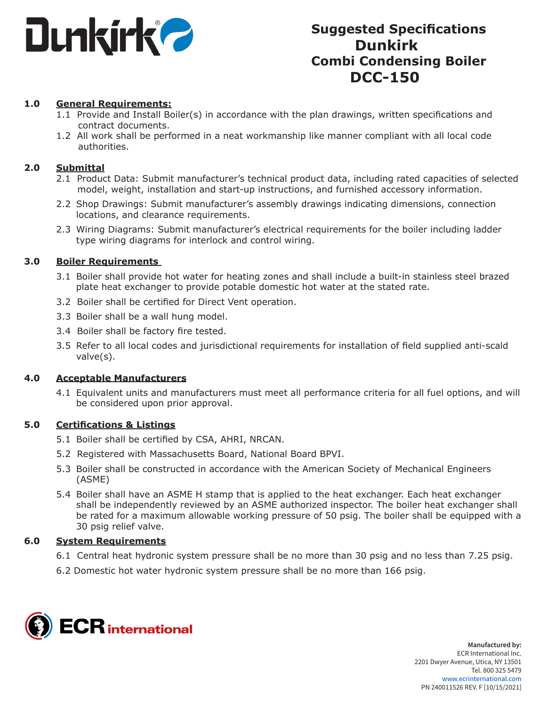

# **Suggested Specifications Dunkirk Combi Condensing Boiler DCC-150**

## **1.0 General Requirements:**

- 1.1 Provide and Install Boiler(s) in accordance with the plan drawings, written specifications and contract documents.
- 1.2 All work shall be performed in a neat workmanship like manner compliant with all local code authorities.

## **2.0 Submittal**

- 2.1 Product Data: Submit manufacturer's technical product data, including rated capacities of selected model, weight, installation and start-up instructions, and furnished accessory information.
- 2.2 Shop Drawings: Submit manufacturer's assembly drawings indicating dimensions, connection locations, and clearance requirements.
- 2.3 Wiring Diagrams: Submit manufacturer's electrical requirements for the boiler including ladder type wiring diagrams for interlock and control wiring.

#### **3.0 Boiler Requirements**

- 3.1 Boiler shall provide hot water for heating zones and shall include a built-in stainless steel brazed plate heat exchanger to provide potable domestic hot water at the stated rate.
- 3.2 Boiler shall be certified for Direct Vent operation.
- 3.3 Boiler shall be a wall hung model.
- 3.4 Boiler shall be factory fire tested.
- 3.5 Refer to all local codes and jurisdictional requirements for installation of field supplied anti-scald valve(s).

#### **4.0 Acceptable Manufacturers**

4.1 Equivalent units and manufacturers must meet all performance criteria for all fuel options, and will be considered upon prior approval.

#### **5.0 Certifications & Listings**

- 5.1 Boiler shall be certified by CSA, AHRI, NRCAN.
- 5.2 Registered with Massachusetts Board, National Board BPVI.
- 5.3 Boiler shall be constructed in accordance with the American Society of Mechanical Engineers (ASME)
- 5.4 Boiler shall have an ASME H stamp that is applied to the heat exchanger. Each heat exchanger shall be independently reviewed by an ASME authorized inspector. The boiler heat exchanger shall be rated for a maximum allowable working pressure of 50 psig. The boiler shall be equipped with a 30 psig relief valve.

#### **6.0 System Requirements**

- 6.1 Central heat hydronic system pressure shall be no more than 30 psig and no less than 7.25 psig.
- 6.2 Domestic hot water hydronic system pressure shall be no more than 166 psig.

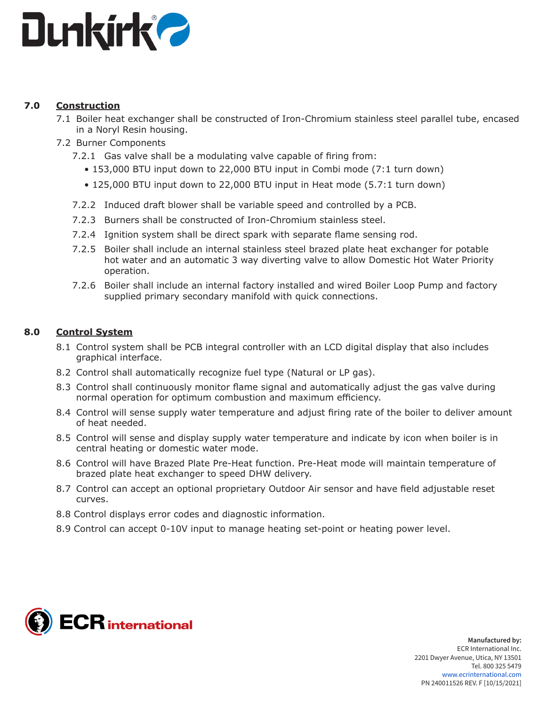

## **7.0 Construction**

- 7.1 Boiler heat exchanger shall be constructed of Iron-Chromium stainless steel parallel tube, encased in a Noryl Resin housing.
- 7.2 Burner Components
	- 7.2.1 Gas valve shall be a modulating valve capable of firing from:
		- 153,000 BTU input down to 22,000 BTU input in Combi mode (7:1 turn down)
		- 125,000 BTU input down to 22,000 BTU input in Heat mode (5.7:1 turn down)
	- 7.2.2 Induced draft blower shall be variable speed and controlled by a PCB.
	- 7.2.3 Burners shall be constructed of Iron-Chromium stainless steel.
	- 7.2.4 Ignition system shall be direct spark with separate flame sensing rod.
	- 7.2.5 Boiler shall include an internal stainless steel brazed plate heat exchanger for potable hot water and an automatic 3 way diverting valve to allow Domestic Hot Water Priority operation.
	- 7.2.6 Boiler shall include an internal factory installed and wired Boiler Loop Pump and factory supplied primary secondary manifold with quick connections.

## **8.0 Control System**

- 8.1 Control system shall be PCB integral controller with an LCD digital display that also includes graphical interface.
- 8.2 Control shall automatically recognize fuel type (Natural or LP gas).
- 8.3 Control shall continuously monitor flame signal and automatically adjust the gas valve during normal operation for optimum combustion and maximum efficiency.
- 8.4 Control will sense supply water temperature and adjust firing rate of the boiler to deliver amount of heat needed.
- 8.5 Control will sense and display supply water temperature and indicate by icon when boiler is in central heating or domestic water mode.
- 8.6 Control will have Brazed Plate Pre-Heat function. Pre-Heat mode will maintain temperature of brazed plate heat exchanger to speed DHW delivery.
- 8.7 Control can accept an optional proprietary Outdoor Air sensor and have field adjustable reset curves.
- 8.8 Control displays error codes and diagnostic information.
- 8.9 Control can accept 0-10V input to manage heating set-point or heating power level.